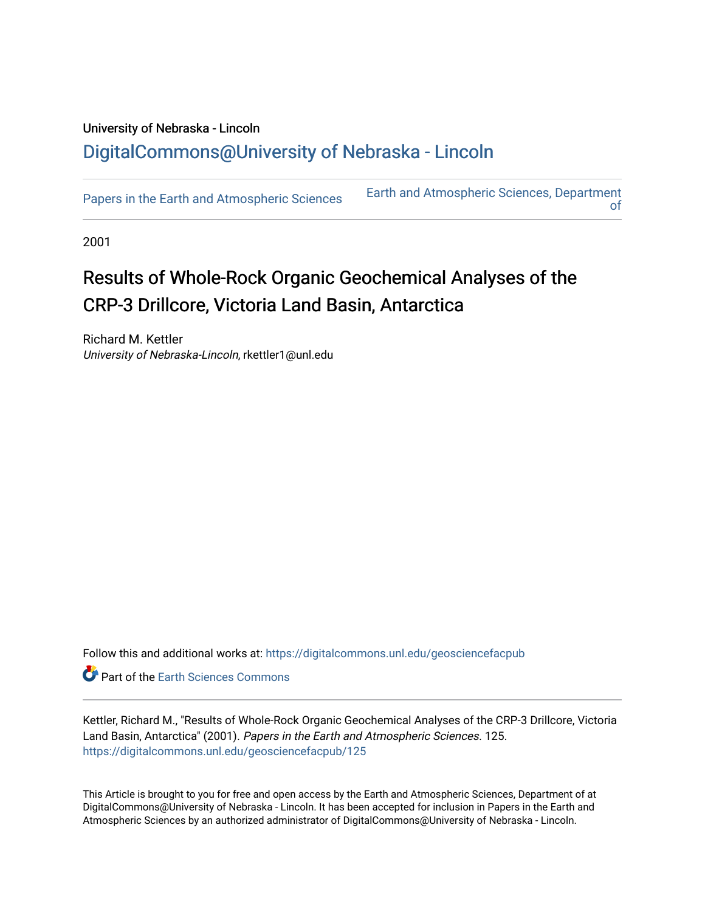## University of Nebraska - Lincoln [DigitalCommons@University of Nebraska - Lincoln](https://digitalcommons.unl.edu/)

[Papers in the Earth and Atmospheric Sciences](https://digitalcommons.unl.edu/geosciencefacpub) Earth and Atmospheric Sciences, Department [of](https://digitalcommons.unl.edu/geosciences) 

2001

# Results of Whole-Rock Organic Geochemical Analyses of the CRP-3 Drillcore, Victoria Land Basin, Antarctica

Richard M. Kettler University of Nebraska-Lincoln, rkettler1@unl.edu

Follow this and additional works at: [https://digitalcommons.unl.edu/geosciencefacpub](https://digitalcommons.unl.edu/geosciencefacpub?utm_source=digitalcommons.unl.edu%2Fgeosciencefacpub%2F125&utm_medium=PDF&utm_campaign=PDFCoverPages)

Part of the [Earth Sciences Commons](http://network.bepress.com/hgg/discipline/153?utm_source=digitalcommons.unl.edu%2Fgeosciencefacpub%2F125&utm_medium=PDF&utm_campaign=PDFCoverPages) 

Kettler, Richard M., "Results of Whole-Rock Organic Geochemical Analyses of the CRP-3 Drillcore, Victoria Land Basin, Antarctica" (2001). Papers in the Earth and Atmospheric Sciences. 125. [https://digitalcommons.unl.edu/geosciencefacpub/125](https://digitalcommons.unl.edu/geosciencefacpub/125?utm_source=digitalcommons.unl.edu%2Fgeosciencefacpub%2F125&utm_medium=PDF&utm_campaign=PDFCoverPages)

This Article is brought to you for free and open access by the Earth and Atmospheric Sciences, Department of at DigitalCommons@University of Nebraska - Lincoln. It has been accepted for inclusion in Papers in the Earth and Atmospheric Sciences by an authorized administrator of DigitalCommons@University of Nebraska - Lincoln.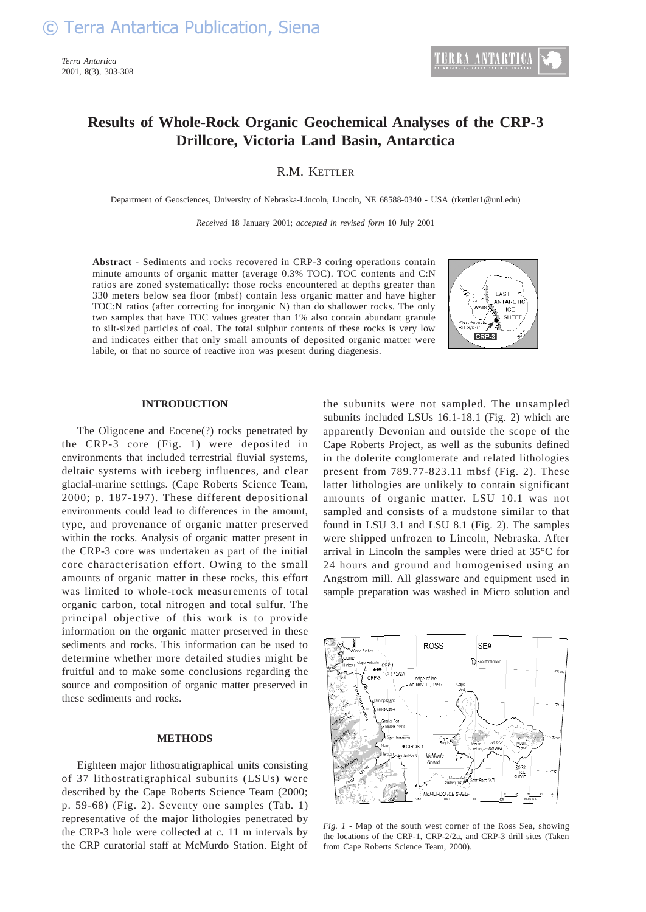*Terra Antartica* 2001, **8**(3), 303-308

### **Results of Whole-Rock Organic Geochemical Analyses of the CRP-3 Drillcore, Victoria Land Basin, Antarctica**

R.M. KETTLER

Department of Geosciences, University of Nebraska-Lincoln, Lincoln, NE 68588-0340 - USA (rkettler1@unl.edu)

*Received* 18 January 2001; *accepted in revised form* 10 July 2001

**Abstract** - Sediments and rocks recovered in CRP-3 coring operations contain minute amounts of organic matter (average 0.3% TOC). TOC contents and C:N ratios are zoned systematically: those rocks encountered at depths greater than 330 meters below sea floor (mbsf) contain less organic matter and have higher TOC:N ratios (after correcting for inorganic N) than do shallower rocks. The only two samples that have TOC values greater than 1% also contain abundant granule to silt-sized particles of coal. The total sulphur contents of these rocks is very low and indicates either that only small amounts of deposited organic matter were labile, or that no source of reactive iron was present during diagenesis.



#### **INTRODUCTION**

The Oligocene and Eocene(?) rocks penetrated by the CRP-3 core (Fig. 1) were deposited in environments that included terrestrial fluvial systems, deltaic systems with iceberg influences, and clear glacial-marine settings. (Cape Roberts Science Team, 2000; p. 187-197). These different depositional environments could lead to differences in the amount, type, and provenance of organic matter preserved within the rocks. Analysis of organic matter present in the CRP-3 core was undertaken as part of the initial core characterisation effort. Owing to the small amounts of organic matter in these rocks, this effort was limited to whole-rock measurements of total organic carbon, total nitrogen and total sulfur. The principal objective of this work is to provide information on the organic matter preserved in these sediments and rocks. This information can be used to determine whether more detailed studies might be fruitful and to make some conclusions regarding the source and composition of organic matter preserved in these sediments and rocks.

#### **METHODS**

Eighteen major lithostratigraphical units consisting of 37 lithostratigraphical subunits (LSUs) were described by the Cape Roberts Science Team (2000; p. 59-68) (Fig. 2). Seventy one samples (Tab. 1) representative of the major lithologies penetrated by the CRP-3 hole were collected at *c.* 11 m intervals by the CRP curatorial staff at McMurdo Station. Eight of the subunits were not sampled. The unsampled subunits included LSUs 16.1-18.1 (Fig. 2) which are apparently Devonian and outside the scope of the Cape Roberts Project, as well as the subunits defined in the dolerite conglomerate and related lithologies present from 789.77-823.11 mbsf (Fig. 2). These latter lithologies are unlikely to contain significant amounts of organic matter. LSU 10.1 was not sampled and consists of a mudstone similar to that found in LSU 3.1 and LSU 8.1 (Fig. 2). The samples were shipped unfrozen to Lincoln, Nebraska. After arrival in Lincoln the samples were dried at 35°C for 24 hours and ground and homogenised using an Angstrom mill. All glassware and equipment used in sample preparation was washed in Micro solution and



*Fig. 1 -* Map of the south west corner of the Ross Sea, showing the locations of the CRP-1, CRP-2/2a, and CRP-3 drill sites (Taken from Cape Roberts Science Team, 2000).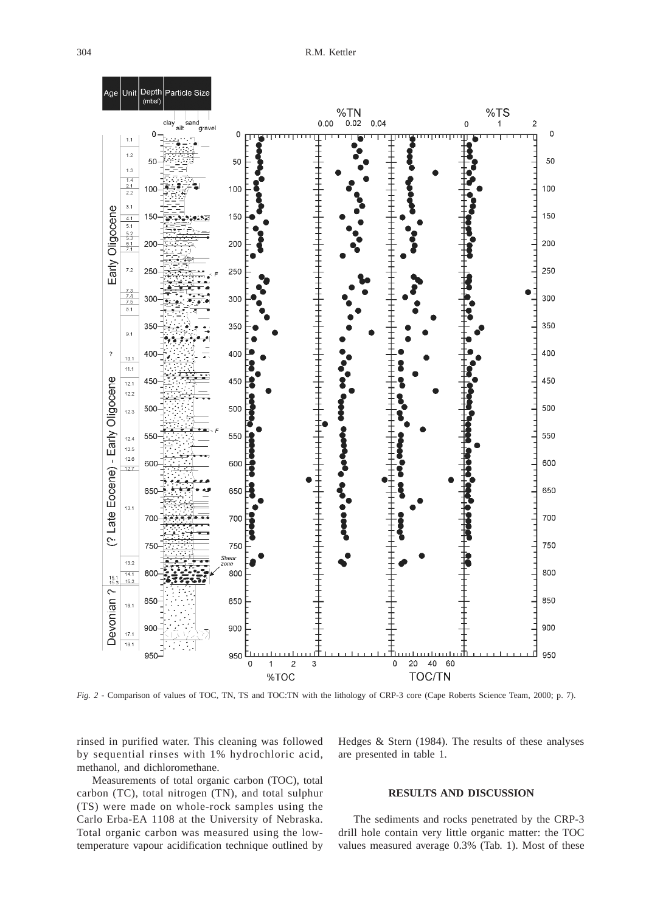

*Fig. 2 -* Comparison of values of TOC, TN, TS and TOC:TN with the lithology of CRP-3 core (Cape Roberts Science Team, 2000; p. 7).

rinsed in purified water. This cleaning was followed by sequential rinses with 1% hydrochloric acid, methanol, and dichloromethane.

Measurements of total organic carbon (TOC), total carbon (TC), total nitrogen (TN), and total sulphur (TS) were made on whole-rock samples using the Carlo Erba-EA 1108 at the University of Nebraska. Total organic carbon was measured using the lowtemperature vapour acidification technique outlined by Hedges & Stern (1984). The results of these analyses are presented in table 1.

#### **RESULTS AND DISCUSSION**

The sediments and rocks penetrated by the CRP-3 drill hole contain very little organic matter: the TOC values measured average 0.3% (Tab. 1). Most of these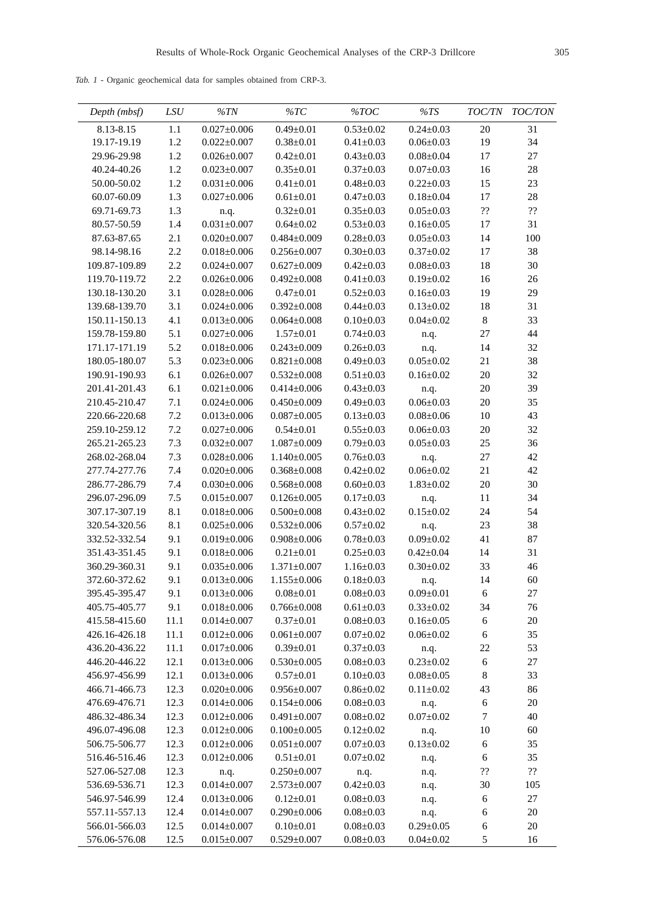*Tab. 1* - Organic geochemical data for samples obtained from CRP-3.

| Depth (mbsf)  | LSU     | %TN               | $\% TC$           | % TOC           | %TS             | <i>TOC/TN</i>                   | <b>TOC/TON</b>                  |
|---------------|---------|-------------------|-------------------|-----------------|-----------------|---------------------------------|---------------------------------|
| 8.13-8.15     | $1.1\,$ | $0.027 \pm 0.006$ | $0.49 \pm 0.01$   | $0.53 \pm 0.02$ | $0.24 \pm 0.03$ | 20                              | 31                              |
| 19.17-19.19   | 1.2     | $0.022 \pm 0.007$ | $0.38 \pm 0.01$   | $0.41 \pm 0.03$ | $0.06 \pm 0.03$ | 19                              | 34                              |
| 29.96-29.98   | $1.2\,$ | $0.026 \pm 0.007$ | $0.42 \pm 0.01$   | $0.43 \pm 0.03$ | $0.08 + 0.04$   | 17                              | 27                              |
| 40.24-40.26   | $1.2\,$ | $0.023 \pm 0.007$ | $0.35 \pm 0.01$   | $0.37 \pm 0.03$ | $0.07 \pm 0.03$ | 16                              | 28                              |
| 50.00-50.02   | $1.2\,$ | $0.031 \pm 0.006$ | $0.41 \pm 0.01$   | $0.48 + 0.03$   | $0.22 \pm 0.03$ | 15                              | 23                              |
| 60.07-60.09   | 1.3     | $0.027 \pm 0.006$ | $0.61 \pm 0.01$   | $0.47 + 0.03$   | $0.18 \pm 0.04$ | 17                              | 28                              |
| 69.71-69.73   | 1.3     | n.q.              | $0.32 \pm 0.01$   | $0.35 \pm 0.03$ | $0.05 \pm 0.03$ | $\mathfrak{P}\mathfrak{P}$      | $\boldsymbol{?} \boldsymbol{?}$ |
| 80.57-50.59   | 1.4     | $0.031 \pm 0.007$ | $0.64 \pm 0.02$   | $0.53 \pm 0.03$ | $0.16 \pm 0.05$ | 17                              | 31                              |
| 87.63-87.65   | 2.1     | $0.020 \pm 0.007$ | $0.484 \pm 0.009$ | $0.28 \pm 0.03$ | $0.05 \pm 0.03$ | 14                              | 100                             |
| 98.14-98.16   | 2.2     | $0.018 \pm 0.006$ | $0.256 \pm 0.007$ | $0.30 \pm 0.03$ | $0.37 \pm 0.02$ | 17                              | 38                              |
| 109.87-109.89 | 2.2     | $0.024 \pm 0.007$ | $0.627 \pm 0.009$ | $0.42 \pm 0.03$ | $0.08 \pm 0.03$ | 18                              | 30                              |
| 119.70-119.72 | 2.2     | $0.026 \pm 0.006$ | $0.492 \pm 0.008$ | $0.41 \pm 0.03$ | $0.19 \pm 0.02$ | 16                              | $26\,$                          |
| 130.18-130.20 | 3.1     | $0.028 \pm 0.006$ | $0.47 + 0.01$     | $0.52 \pm 0.03$ | $0.16 \pm 0.03$ | 19                              | 29                              |
| 139.68-139.70 | 3.1     | $0.024 \pm 0.006$ | $0.392 \pm 0.008$ | $0.44 \pm 0.03$ | $0.13 \pm 0.02$ | 18                              | 31                              |
| 150.11-150.13 | 4.1     | $0.013 \pm 0.006$ | $0.064 \pm 0.008$ | $0.10 \pm 0.03$ | $0.04 \pm 0.02$ | $\,8\,$                         | 33                              |
| 159.78-159.80 | 5.1     | $0.027 \pm 0.006$ | $1.57 \pm 0.01$   | $0.74 \pm 0.03$ | n.q.            | 27                              | 44                              |
| 171.17-171.19 | 5.2     | $0.018 \pm 0.006$ | $0.243 \pm 0.009$ | $0.26 \pm 0.03$ | n.q.            | 14                              | 32                              |
| 180.05-180.07 | 5.3     | $0.023 \pm 0.006$ | $0.821 \pm 0.008$ | $0.49 \pm 0.03$ | $0.05 \pm 0.02$ | 21                              | 38                              |
| 190.91-190.93 | 6.1     | $0.026 \pm 0.007$ | $0.532 \pm 0.008$ | $0.51 \pm 0.03$ | $0.16 \pm 0.02$ | 20                              | 32                              |
| 201.41-201.43 | 6.1     | $0.021 \pm 0.006$ | $0.414 \pm 0.006$ | $0.43 \pm 0.03$ | n.q.            | 20                              | 39                              |
| 210.45-210.47 | $7.1\,$ | $0.024 \pm 0.006$ | $0.450 \pm 0.009$ | $0.49 \pm 0.03$ | $0.06 \pm 0.03$ | 20                              | 35                              |
| 220.66-220.68 | $7.2\,$ | $0.013 \pm 0.006$ | $0.087 \pm 0.005$ | $0.13 \pm 0.03$ | $0.08 \pm 0.06$ | $10\,$                          | 43                              |
| 259.10-259.12 | $7.2\,$ | $0.027 \pm 0.006$ | $0.54 \pm 0.01$   | $0.55 \pm 0.03$ | $0.06 \pm 0.03$ | $20\,$                          | 32                              |
| 265.21-265.23 | 7.3     | $0.032 \pm 0.007$ | $1.087 \pm 0.009$ | $0.79 \pm 0.03$ | $0.05 \pm 0.03$ | 25                              | 36                              |
| 268.02-268.04 | 7.3     | $0.028 \pm 0.006$ | $1.140 \pm 0.005$ | $0.76 \pm 0.03$ | n.q.            | $27\,$                          | 42                              |
| 277.74-277.76 | 7.4     | $0.020 \pm 0.006$ | $0.368 \pm 0.008$ | $0.42 \pm 0.02$ | $0.06 \pm 0.02$ | 21                              | 42                              |
| 286.77-286.79 | $7.4\,$ | $0.030 \pm 0.006$ | $0.568 \pm 0.008$ | $0.60 \pm 0.03$ | $1.83 \pm 0.02$ | $20\,$                          | 30                              |
| 296.07-296.09 | $7.5$   | $0.015 \pm 0.007$ | $0.126 \pm 0.005$ | $0.17 \pm 0.03$ | n.q.            | 11                              | 34                              |
| 307.17-307.19 | 8.1     | $0.018 \pm 0.006$ | $0.500 \pm 0.008$ | $0.43 \pm 0.02$ | $0.15 \pm 0.02$ | 24                              | 54                              |
| 320.54-320.56 | 8.1     | $0.025 \pm 0.006$ | $0.532 \pm 0.006$ | $0.57 \pm 0.02$ | n.q.            | 23                              | 38                              |
| 332.52-332.54 | 9.1     | $0.019 \pm 0.006$ | $0.908 \pm 0.006$ | $0.78 \pm 0.03$ | $0.09 \pm 0.02$ | 41                              | $87\,$                          |
| 351.43-351.45 | 9.1     | $0.018 \pm 0.006$ | $0.21 \pm 0.01$   | $0.25 \pm 0.03$ | $0.42 \pm 0.04$ | 14                              | 31                              |
| 360.29-360.31 | 9.1     | $0.035 \pm 0.006$ | $1.371 \pm 0.007$ | $1.16 \pm 0.03$ | $0.30 \pm 0.02$ | 33                              | 46                              |
| 372.60-372.62 | 9.1     | $0.013 \pm 0.006$ | $1.155 \pm 0.006$ | $0.18 \pm 0.03$ | n.q.            | 14                              | 60                              |
| 395.45-395.47 | 9.1     | $0.013 \pm 0.006$ | $0.08 \pm 0.01$   | $0.08 \pm 0.03$ | $0.09 \pm 0.01$ | 6                               | 27                              |
| 405.75-405.77 | 9.1     | $0.018 \pm 0.006$ | $0.766 \pm 0.008$ | $0.61 \pm 0.03$ | $0.33 \pm 0.02$ | 34                              | 76                              |
| 415.58-415.60 | 11.1    | $0.014 \pm 0.007$ | $0.37 \pm 0.01$   | $0.08 \pm 0.03$ | $0.16 \pm 0.05$ | $\boldsymbol{6}$                | $20\,$                          |
| 426.16-426.18 | 11.1    | $0.012 \pm 0.006$ | $0.061 \pm 0.007$ | $0.07\pm0.02$   | $0.06 \pm 0.02$ | 6                               | 35                              |
| 436.20-436.22 | 11.1    | $0.017 \pm 0.006$ | $0.39 \pm 0.01$   | $0.37 \pm 0.03$ | n.q.            | 22                              | 53                              |
| 446.20-446.22 | 12.1    | $0.013 \pm 0.006$ | $0.530 \pm 0.005$ | $0.08 \pm 0.03$ | $0.23 \pm 0.02$ | 6                               | $27\,$                          |
| 456.97-456.99 | 12.1    | $0.013 \pm 0.006$ | $0.57 \pm 0.01$   | $0.10 \pm 0.03$ | $0.08 \pm 0.05$ | $\,8\,$                         | 33                              |
| 466.71-466.73 | 12.3    | $0.020 \pm 0.006$ | $0.956 \pm 0.007$ | $0.86{\pm}0.02$ | $0.11 \pm 0.02$ | 43                              | 86                              |
| 476.69-476.71 | 12.3    | $0.014 \pm 0.006$ | $0.154 \pm 0.006$ | $0.08 \pm 0.03$ | n.q.            | $\boldsymbol{6}$                | $20\,$                          |
| 486.32-486.34 | 12.3    | $0.012 \pm 0.006$ | $0.491 \pm 0.007$ | $0.08 \pm 0.02$ | $0.07 + 0.02$   | $\tau$                          | 40                              |
| 496.07-496.08 | 12.3    | $0.012 \pm 0.006$ | $0.100 \pm 0.005$ | $0.12 \pm 0.02$ | n.q.            | 10                              | 60                              |
| 506.75-506.77 | 12.3    | $0.012 \pm 0.006$ | $0.051 \pm 0.007$ | $0.07 \pm 0.03$ | $0.13 \pm 0.02$ | $\epsilon$                      | 35                              |
| 516.46-516.46 | 12.3    | $0.012 \pm 0.006$ | $0.51 \pm 0.01$   | $0.07\pm0.02$   | n.q.            | 6                               | 35                              |
| 527.06-527.08 | 12.3    | n.q.              | $0.250 \pm 0.007$ | n.q.            | n.q.            | $\boldsymbol{?} \boldsymbol{?}$ | $\mathbf{??}$                   |
| 536.69-536.71 | 12.3    | $0.014 \pm 0.007$ | $2.573 \pm 0.007$ | $0.42 \pm 0.03$ | n.q.            | 30                              | 105                             |
| 546.97-546.99 | 12.4    | $0.013 \pm 0.006$ | $0.12 \pm 0.01$   | $0.08 \pm 0.03$ | n.q.            | $\boldsymbol{6}$                | $27\,$                          |
| 557.11-557.13 | 12.4    | $0.014 \pm 0.007$ | $0.290 \pm 0.006$ | $0.08 \pm 0.03$ | n.q.            | 6                               | $20\,$                          |
| 566.01-566.03 | 12.5    | $0.014 \pm 0.007$ | $0.10 \pm 0.01$   | $0.08 \pm 0.03$ | $0.29 \pm 0.05$ | 6                               | $20\,$                          |
| 576.06-576.08 | 12.5    | $0.015 \pm 0.007$ | $0.529 \pm 0.007$ | $0.08 \pm 0.03$ | $0.04 \pm 0.02$ | 5                               | 16                              |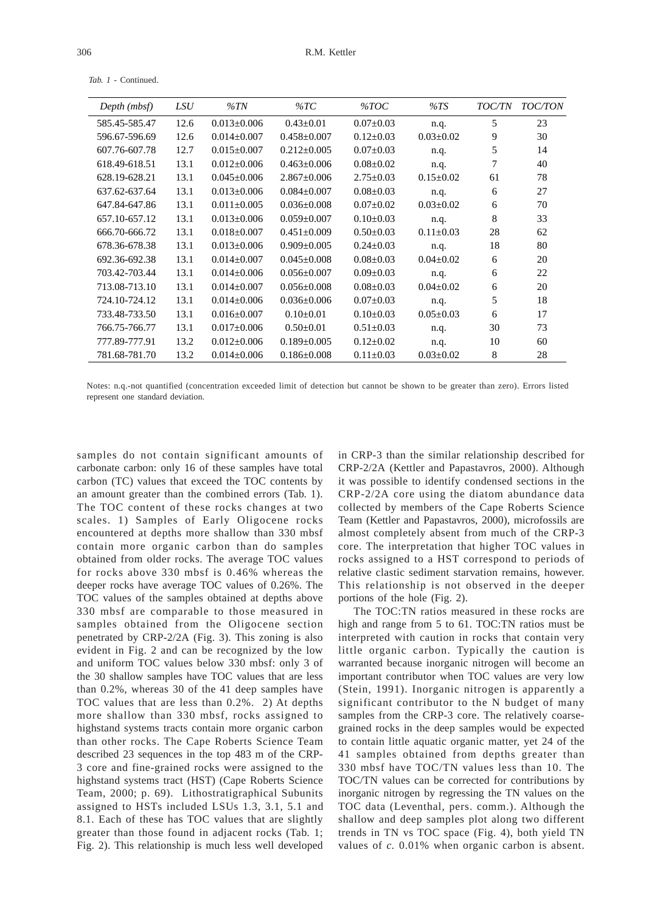| Depth (mbsf)  | LSU  | $\%TN$            | $\%TC$            | $\%TOC$         | %TS             | <i>TOC/TN</i> | <b>TOC/TON</b> |
|---------------|------|-------------------|-------------------|-----------------|-----------------|---------------|----------------|
| 585.45-585.47 | 12.6 | $0.013 + 0.006$   | $0.43 \pm 0.01$   | $0.07 \pm 0.03$ | n.q.            | 5             | 23             |
| 596.67-596.69 | 12.6 | $0.014 \pm 0.007$ | $0.458 \pm 0.007$ | $0.12 \pm 0.03$ | $0.03 \pm 0.02$ | 9             | 30             |
| 607.76-607.78 | 12.7 | $0.015 \pm 0.007$ | $0.212 \pm 0.005$ | $0.07 \pm 0.03$ | n.q.            | 5             | 14             |
| 618.49-618.51 | 13.1 | $0.012 \pm 0.006$ | $0.463 \pm 0.006$ | $0.08 \pm 0.02$ | n.q.            | 7             | 40             |
| 628.19-628.21 | 13.1 | $0.045 \pm 0.006$ | $2.867 \pm 0.006$ | $2.75 \pm 0.03$ | $0.15 \pm 0.02$ | 61            | 78             |
| 637.62-637.64 | 13.1 | $0.013 \pm 0.006$ | $0.084 \pm 0.007$ | $0.08 \pm 0.03$ | n.q.            | 6             | 27             |
| 647.84-647.86 | 13.1 | $0.011 \pm 0.005$ | $0.036 \pm 0.008$ | $0.07 \pm 0.02$ | $0.03 \pm 0.02$ | 6             | 70             |
| 657.10-657.12 | 13.1 | $0.013 \pm 0.006$ | $0.059 \pm 0.007$ | $0.10\pm0.03$   | n.q.            | 8             | 33             |
| 666.70-666.72 | 13.1 | $0.018 \pm 0.007$ | $0.451 \pm 0.009$ | $0.50 \pm 0.03$ | $0.11 \pm 0.03$ | 28            | 62             |
| 678.36-678.38 | 13.1 | $0.013 \pm 0.006$ | $0.909 \pm 0.005$ | $0.24 \pm 0.03$ | n.q.            | 18            | 80             |
| 692.36-692.38 | 13.1 | $0.014 + 0.007$   | $0.045 + 0.008$   | $0.08 \pm 0.03$ | $0.04 \pm 0.02$ | 6             | 20             |
| 703.42-703.44 | 13.1 | $0.014 \pm 0.006$ | $0.056 \pm 0.007$ | $0.09 \pm 0.03$ | n.q.            | 6             | 22             |
| 713.08-713.10 | 13.1 | $0.014 + 0.007$   | $0.056 \pm 0.008$ | $0.08 \pm 0.03$ | $0.04 \pm 0.02$ | 6             | 20             |
| 724.10-724.12 | 13.1 | $0.014 \pm 0.006$ | $0.036 \pm 0.006$ | $0.07 \pm 0.03$ | n.q.            | 5             | 18             |
| 733.48-733.50 | 13.1 | $0.016 \pm 0.007$ | $0.10 \pm 0.01$   | $0.10\pm0.03$   | $0.05 \pm 0.03$ | 6             | 17             |
| 766.75-766.77 | 13.1 | $0.017 \pm 0.006$ | $0.50 \pm 0.01$   | $0.51 \pm 0.03$ | n.q.            | 30            | 73             |
| 777.89-777.91 | 13.2 | $0.012 \pm 0.006$ | $0.189 \pm 0.005$ | $0.12 \pm 0.02$ | n.q.            | 10            | 60             |
| 781.68-781.70 | 13.2 | $0.014 \pm 0.006$ | $0.186 \pm 0.008$ | $0.11 \pm 0.03$ | $0.03 \pm 0.02$ | 8             | 28             |

*Tab. 1* - Continued.

Notes: n.q.-not quantified (concentration exceeded limit of detection but cannot be shown to be greater than zero). Errors listed represent one standard deviation.

samples do not contain significant amounts of carbonate carbon: only 16 of these samples have total carbon (TC) values that exceed the TOC contents by an amount greater than the combined errors (Tab. 1). The TOC content of these rocks changes at two scales. 1) Samples of Early Oligocene rocks encountered at depths more shallow than 330 mbsf contain more organic carbon than do samples obtained from older rocks. The average TOC values for rocks above 330 mbsf is 0.46% whereas the deeper rocks have average TOC values of 0.26%. The TOC values of the samples obtained at depths above 330 mbsf are comparable to those measured in samples obtained from the Oligocene section penetrated by CRP-2/2A (Fig. 3). This zoning is also evident in Fig. 2 and can be recognized by the low and uniform TOC values below 330 mbsf: only 3 of the 30 shallow samples have TOC values that are less than 0.2%, whereas 30 of the 41 deep samples have TOC values that are less than 0.2%. 2) At depths more shallow than 330 mbsf, rocks assigned to highstand systems tracts contain more organic carbon than other rocks. The Cape Roberts Science Team described 23 sequences in the top 483 m of the CRP-3 core and fine-grained rocks were assigned to the highstand systems tract (HST) (Cape Roberts Science Team, 2000; p. 69). Lithostratigraphical Subunits assigned to HSTs included LSUs 1.3, 3.1, 5.1 and 8.1. Each of these has TOC values that are slightly greater than those found in adjacent rocks (Tab. 1; Fig. 2). This relationship is much less well developed

in CRP-3 than the similar relationship described for CRP-2/2A (Kettler and Papastavros, 2000). Although it was possible to identify condensed sections in the CRP-2/2A core using the diatom abundance data collected by members of the Cape Roberts Science Team (Kettler and Papastavros, 2000), microfossils are almost completely absent from much of the CRP-3 core. The interpretation that higher TOC values in rocks assigned to a HST correspond to periods of relative clastic sediment starvation remains, however. This relationship is not observed in the deeper portions of the hole (Fig. 2).

The TOC:TN ratios measured in these rocks are high and range from 5 to 61. TOC:TN ratios must be interpreted with caution in rocks that contain very little organic carbon. Typically the caution is warranted because inorganic nitrogen will become an important contributor when TOC values are very low (Stein, 1991). Inorganic nitrogen is apparently a significant contributor to the N budget of many samples from the CRP-3 core. The relatively coarsegrained rocks in the deep samples would be expected to contain little aquatic organic matter, yet 24 of the 41 samples obtained from depths greater than 330 mbsf have TOC/TN values less than 10. The TOC/TN values can be corrected for contributions by inorganic nitrogen by regressing the TN values on the TOC data (Leventhal, pers. comm.). Although the shallow and deep samples plot along two different trends in TN vs TOC space (Fig. 4), both yield TN values of *c.* 0.01% when organic carbon is absent.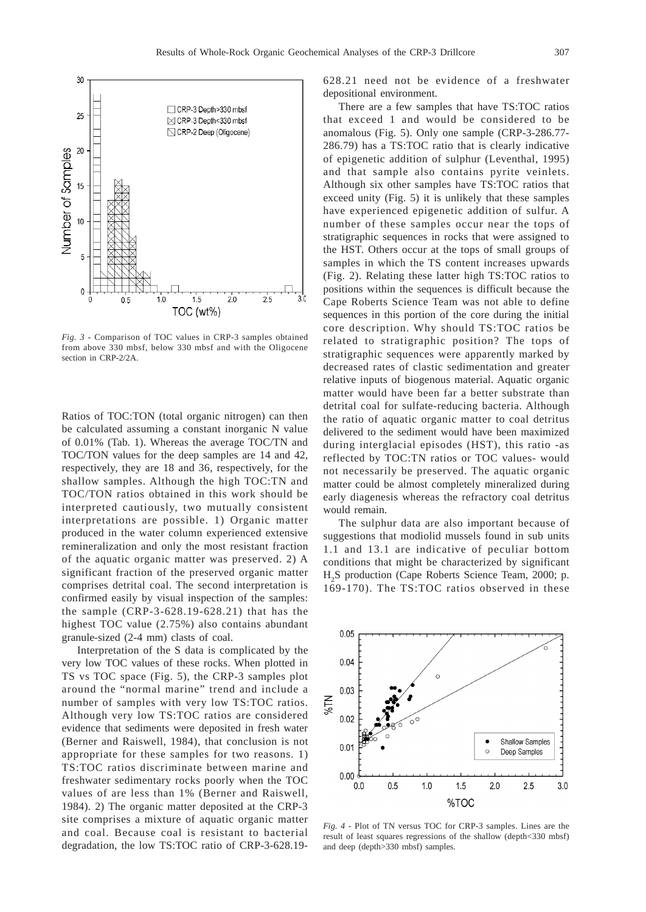

*Fig. 3* - Comparison of TOC values in CRP-3 samples obtained from above 330 mbsf, below 330 mbsf and with the Oligocene section in CRP-2/2A.

Ratios of TOC:TON (total organic nitrogen) can then be calculated assuming a constant inorganic N value of 0.01% (Tab. 1). Whereas the average TOC/TN and TOC/TON values for the deep samples are 14 and 42, respectively, they are 18 and 36, respectively, for the shallow samples. Although the high TOC:TN and TOC/TON ratios obtained in this work should be interpreted cautiously, two mutually consistent interpretations are possible. 1) Organic matter produced in the water column experienced extensive remineralization and only the most resistant fraction of the aquatic organic matter was preserved. 2) A significant fraction of the preserved organic matter comprises detrital coal. The second interpretation is confirmed easily by visual inspection of the samples: the sample (CRP-3-628.19-628.21) that has the highest TOC value (2.75%) also contains abundant granule-sized (2-4 mm) clasts of coal.

Interpretation of the S data is complicated by the very low TOC values of these rocks. When plotted in TS vs TOC space (Fig. 5), the CRP-3 samples plot around the "normal marine" trend and include a number of samples with very low TS:TOC ratios. Although very low TS:TOC ratios are considered evidence that sediments were deposited in fresh water (Berner and Raiswell, 1984), that conclusion is not appropriate for these samples for two reasons. 1) TS:TOC ratios discriminate between marine and freshwater sedimentary rocks poorly when the TOC values of are less than 1% (Berner and Raiswell, 1984). 2) The organic matter deposited at the CRP-3 site comprises a mixture of aquatic organic matter and coal. Because coal is resistant to bacterial degradation, the low TS:TOC ratio of CRP-3-628.19628.21 need not be evidence of a freshwater depositional environment.

There are a few samples that have TS:TOC ratios that exceed 1 and would be considered to be anomalous (Fig. 5). Only one sample (CRP-3-286.77- 286.79) has a TS:TOC ratio that is clearly indicative of epigenetic addition of sulphur (Leventhal, 1995) and that sample also contains pyrite veinlets. Although six other samples have TS:TOC ratios that exceed unity (Fig. 5) it is unlikely that these samples have experienced epigenetic addition of sulfur. A number of these samples occur near the tops of stratigraphic sequences in rocks that were assigned to the HST. Others occur at the tops of small groups of samples in which the TS content increases upwards (Fig. 2). Relating these latter high TS:TOC ratios to positions within the sequences is difficult because the Cape Roberts Science Team was not able to define sequences in this portion of the core during the initial core description. Why should TS:TOC ratios be related to stratigraphic position? The tops of stratigraphic sequences were apparently marked by decreased rates of clastic sedimentation and greater relative inputs of biogenous material. Aquatic organic matter would have been far a better substrate than detrital coal for sulfate-reducing bacteria. Although the ratio of aquatic organic matter to coal detritus delivered to the sediment would have been maximized during interglacial episodes (HST), this ratio -as reflected by TOC:TN ratios or TOC values- would not necessarily be preserved. The aquatic organic matter could be almost completely mineralized during early diagenesis whereas the refractory coal detritus would remain.

The sulphur data are also important because of suggestions that modiolid mussels found in sub units 1.1 and 13.1 are indicative of peculiar bottom conditions that might be characterized by significant H<sub>2</sub>S production (Cape Roberts Science Team, 2000; p. 169-170). The TS:TOC ratios observed in these



*Fig. 4 -* Plot of TN versus TOC for CRP-3 samples. Lines are the result of least squares regressions of the shallow (depth<330 mbsf) and deep (depth>330 mbsf) samples.